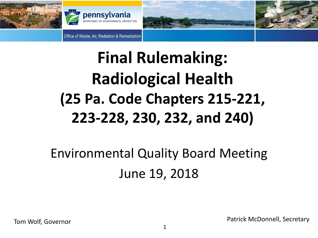

## **Final Rulemaking: Radiological Health (25 Pa. Code Chapters 215-221, 223-228, 230, 232, and 240)**

### Environmental Quality Board Meeting June 19, 2018

Tom Wolf, Governor **Patrick McDonnell, Secretary**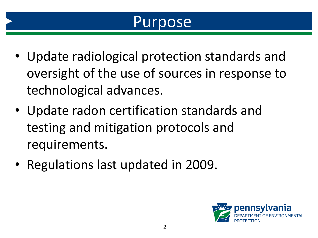#### Purpose

- Update radiological protection standards and oversight of the use of sources in response to technological advances.
- Update radon certification standards and testing and mitigation protocols and requirements.
- Regulations last updated in 2009.

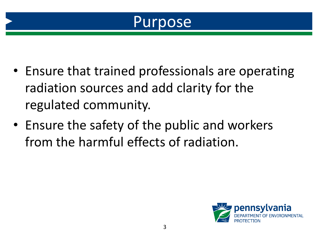

- Ensure that trained professionals are operating radiation sources and add clarity for the regulated community.
- Ensure the safety of the public and workers from the harmful effects of radiation.

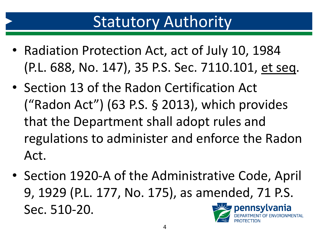#### **Statutory Authority**

- Radiation Protection Act, act of July 10, 1984 (P.L. 688, No. 147), 35 P.S. Sec. 7110.101, et seq.
- Section 13 of the Radon Certification Act ("Radon Act") (63 P.S. § 2013), which provides that the Department shall adopt rules and regulations to administer and enforce the Radon Act.
- Section 1920-A of the Administrative Code, April 9, 1929 (P.L. 177, No. 175), as amended, 71 P.S. Sec. 510-20. pennsylvania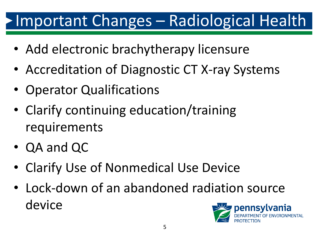## Important Changes – Radiological Health

- Add electronic brachytherapy licensure
- Accreditation of Diagnostic CT X-ray Systems
- Operator Qualifications
- Clarify continuing education/training requirements
- QA and QC
- Clarify Use of Nonmedical Use Device
- Lock-down of an abandoned radiation source device

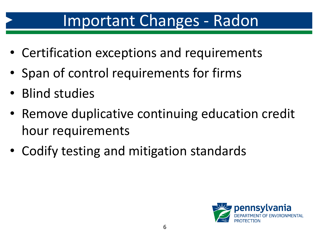#### Important Changes - Radon

- Certification exceptions and requirements
- Span of control requirements for firms
- Blind studies
- Remove duplicative continuing education credit hour requirements
- Codify testing and mitigation standards

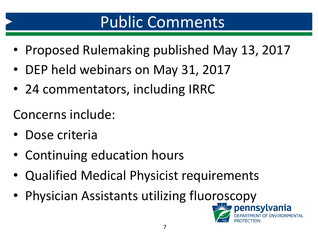## Public Comments

- Proposed Rulemaking published May 13, 2017
- DEP held webinars on May 31, 2017
- 24 commentators, including IRRC

Concerns include:

- Dose criteria
- Continuing education hours
- Qualified Medical Physicist requirements
- Physician Assistants utilizing fluoroscopy<br>

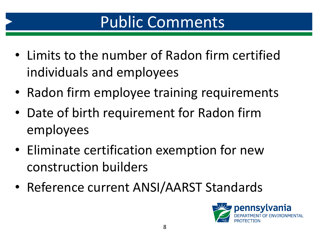## Public Comments

- Limits to the number of Radon firm certified individuals and employees
- Radon firm employee training requirements
- Date of birth requirement for Radon firm employees
- Eliminate certification exemption for new construction builders
- Reference current ANSI/AARST Standards

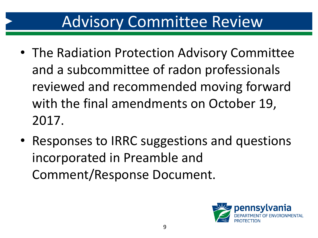### Advisory Committee Review

- The Radiation Protection Advisory Committee and a subcommittee of radon professionals reviewed and recommended moving forward with the final amendments on October 19, 2017.
- Responses to IRRC suggestions and questions incorporated in Preamble and Comment/Response Document.

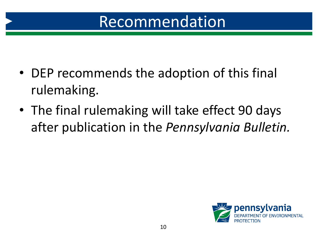### Recommendation

- DEP recommends the adoption of this final rulemaking.
- The final rulemaking will take effect 90 days after publication in the *Pennsylvania Bulletin.*